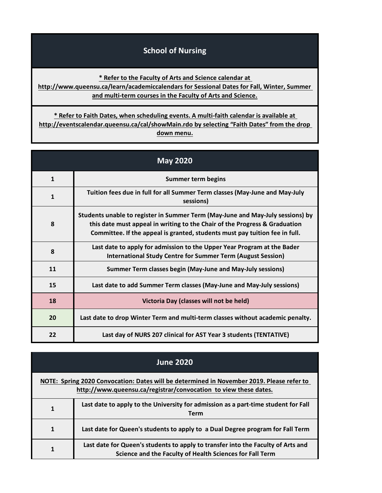## **School of Nursing**

**[\\*](http://www.queensu.ca/learn/academiccalendars) Refer to the Faculty of Arts and Science calendar at** 

**[http://www.](http://www.queensu.ca/learn/academiccalendars)queensu.ca/learn/academiccalendars for Sessional Dates for Fall, Winter, Summer [a](http://www.queensu.ca/learn/academiccalendars)nd multi-term courses in the Faculty of Arts and Science.**

**[\\* Refer](http://eventscalendar.queensu.ca/cal/showMain.rdo) to Faith Dates, when scheduling events. A multi-faith calendar is available at [http://event](http://eventscalendar.queensu.ca/cal/showMain.rdo)scalendar.queensu.ca/cal/showMain.rdo by selecting "Faith Dates" from the drop down menu.**

| <b>May 2020</b> |                                                                                                                                                                                                                                             |
|-----------------|---------------------------------------------------------------------------------------------------------------------------------------------------------------------------------------------------------------------------------------------|
| $\mathbf{1}$    | <b>Summer term begins</b>                                                                                                                                                                                                                   |
| $\mathbf{1}$    | Tuition fees due in full for all Summer Term classes (May-June and May-July<br>sessions)                                                                                                                                                    |
| 8               | Students unable to register in Summer Term (May-June and May-July sessions) by<br>this date must appeal in writing to the Chair of the Progress & Graduation<br>Committee. If the appeal is granted, students must pay tuition fee in full. |
| 8               | Last date to apply for admission to the Upper Year Program at the Bader<br><b>International Study Centre for Summer Term (August Session)</b>                                                                                               |
| 11              | Summer Term classes begin (May-June and May-July sessions)                                                                                                                                                                                  |
| 15              | Last date to add Summer Term classes (May-June and May-July sessions)                                                                                                                                                                       |
| 18              | Victoria Day (classes will not be held)                                                                                                                                                                                                     |
| 20              | Last date to drop Winter Term and multi-term classes without academic penalty.                                                                                                                                                              |
| 22              | Last day of NURS 207 clinical for AST Year 3 students (TENTATIVE)                                                                                                                                                                           |

| <b>June 2020</b>                                                                                                                                              |                                                                                                                                              |
|---------------------------------------------------------------------------------------------------------------------------------------------------------------|----------------------------------------------------------------------------------------------------------------------------------------------|
| NOTE: Spring 2020 Convocation: Dates will be determined in November 2019. Please refer to<br>http://www.queensu.ca/registrar/convocation to view these dates. |                                                                                                                                              |
| 1                                                                                                                                                             | Last date to apply to the University for admission as a part-time student for Fall<br><b>Term</b>                                            |
| $\mathbf{1}$                                                                                                                                                  | Last date for Queen's students to apply to a Dual Degree program for Fall Term                                                               |
|                                                                                                                                                               | Last date for Queen's students to apply to transfer into the Faculty of Arts and<br>Science and the Faculty of Health Sciences for Fall Term |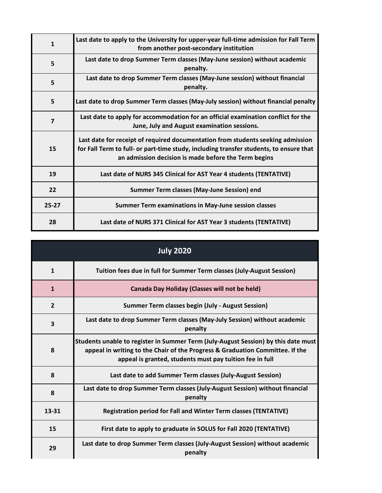| $\mathbf{1}$            | Last date to apply to the University for upper-year full-time admission for Fall Term<br>from another post-secondary institution                                                                                                  |
|-------------------------|-----------------------------------------------------------------------------------------------------------------------------------------------------------------------------------------------------------------------------------|
| 5                       | Last date to drop Summer Term classes (May-June session) without academic<br>penalty.                                                                                                                                             |
| 5                       | Last date to drop Summer Term classes (May-June session) without financial<br>penalty.                                                                                                                                            |
| 5                       | Last date to drop Summer Term classes (May-July session) without financial penalty                                                                                                                                                |
| $\overline{\mathbf{z}}$ | Last date to apply for accommodation for an official examination conflict for the<br>June, July and August examination sessions.                                                                                                  |
| 15                      | Last date for receipt of required documentation from students seeking admission<br>for Fall Term to full- or part-time study, including transfer students, to ensure that<br>an admission decision is made before the Term begins |
| 19                      | Last date of NURS 345 Clinical for AST Year 4 students (TENTATIVE)                                                                                                                                                                |
| 22                      | Summer Term classes (May-June Session) end                                                                                                                                                                                        |
| $25 - 27$               | <b>Summer Term examinations in May-June session classes</b>                                                                                                                                                                       |
| 28                      | Last date of NURS 371 Clinical for AST Year 3 students (TENTATIVE)                                                                                                                                                                |

| <b>July 2020</b> |                                                                                                                                                                                                                                 |
|------------------|---------------------------------------------------------------------------------------------------------------------------------------------------------------------------------------------------------------------------------|
| $\mathbf{1}$     | Tuition fees due in full for Summer Term classes (July-August Session)                                                                                                                                                          |
| $\mathbf{1}$     | <b>Canada Day Holiday (Classes will not be held)</b>                                                                                                                                                                            |
| $\overline{2}$   | <b>Summer Term classes begin (July - August Session)</b>                                                                                                                                                                        |
| 3                | Last date to drop Summer Term classes (May-July Session) without academic<br>penalty                                                                                                                                            |
| 8                | Students unable to register in Summer Term (July-August Session) by this date must<br>appeal in writing to the Chair of the Progress & Graduation Committee. If the<br>appeal is granted, students must pay tuition fee in full |
| 8                | Last date to add Summer Term classes (July-August Session)                                                                                                                                                                      |
| 8                | Last date to drop Summer Term classes (July-August Session) without financial<br>penalty                                                                                                                                        |
| 13-31            | <b>Registration period for Fall and Winter Term classes (TENTATIVE)</b>                                                                                                                                                         |
| 15               | First date to apply to graduate in SOLUS for Fall 2020 (TENTATIVE)                                                                                                                                                              |
| 29               | Last date to drop Summer Term classes (July-August Session) without academic<br>penalty                                                                                                                                         |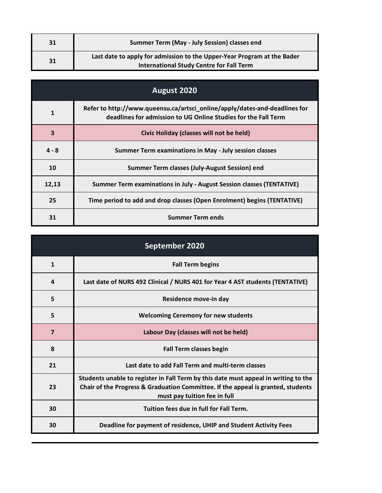| 31 | <b>Summer Term (May - July Session) classes end</b>                                                                        |
|----|----------------------------------------------------------------------------------------------------------------------------|
| 31 | Last date to apply for admission to the Upper-Year Program at the Bader<br><b>International Study Centre for Fall Term</b> |

| August 2020 |                                                                                                                                              |
|-------------|----------------------------------------------------------------------------------------------------------------------------------------------|
| 1           | Refer to http://www.queensu.ca/artsci_online/apply/dates-and-deadlines for<br>deadlines for admission to UG Online Studies for the Fall Term |
| 3           | Civic Holiday (classes will not be held)                                                                                                     |
| $4 - 8$     | Summer Term examinations in May - July session classes                                                                                       |
| 10          | Summer Term classes (July-August Session) end                                                                                                |
| 12,13       | Summer Term examinations in July - August Session classes (TENTATIVE)                                                                        |
| 25          | Time period to add and drop classes (Open Enrolment) begins (TENTATIVE)                                                                      |
| 31          | <b>Summer Term ends</b>                                                                                                                      |

| September 2020 |                                                                                                                                                                                                         |
|----------------|---------------------------------------------------------------------------------------------------------------------------------------------------------------------------------------------------------|
| $\mathbf{1}$   | <b>Fall Term begins</b>                                                                                                                                                                                 |
| 4              | Last date of NURS 492 Clinical / NURS 401 for Year 4 AST students (TENTATIVE)                                                                                                                           |
| 5              | Residence move-in day                                                                                                                                                                                   |
| 5              | <b>Welcoming Ceremony for new students</b>                                                                                                                                                              |
| $\overline{7}$ | Labour Day (classes will not be held)                                                                                                                                                                   |
| 8              | <b>Fall Term classes begin</b>                                                                                                                                                                          |
| 21             | Last date to add Fall Term and multi-term classes                                                                                                                                                       |
| 23             | Students unable to register in Fall Term by this date must appeal in writing to the<br>Chair of the Progress & Graduation Committee. If the appeal is granted, students<br>must pay tuition fee in full |
| 30             | Tuition fees due in full for Fall Term.                                                                                                                                                                 |
| 30             | Deadline for payment of residence, UHIP and Student Activity Fees                                                                                                                                       |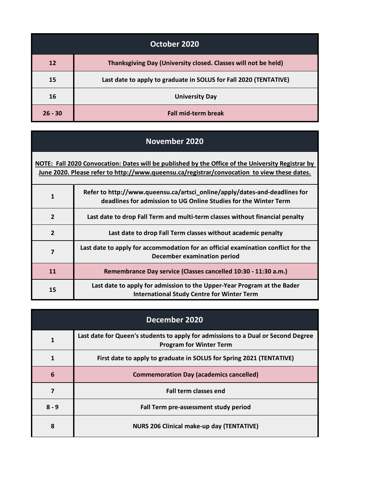| October 2020 |                                                                   |
|--------------|-------------------------------------------------------------------|
| <b>12</b>    | Thanksgiving Day (University closed. Classes will not be held)    |
| 15           | Last date to apply to graduate in SOLUS for Fall 2020 (TENTATIVE) |
| 16           | <b>University Day</b>                                             |
| $26 - 30$    | <b>Fall mid-term break</b>                                        |

## **November 2020**

| NOTE: Fall 2020 Convocation: Dates will be published by the Office of the University Registrar by<br>June 2020. Please refer to http://www.queensu.ca/registrar/convocation to view these dates. |                                                                                                                                                |
|--------------------------------------------------------------------------------------------------------------------------------------------------------------------------------------------------|------------------------------------------------------------------------------------------------------------------------------------------------|
| $\mathbf{1}$                                                                                                                                                                                     | Refer to http://www.queensu.ca/artsci_online/apply/dates-and-deadlines for<br>deadlines for admission to UG Online Studies for the Winter Term |
| $\overline{2}$                                                                                                                                                                                   | Last date to drop Fall Term and multi-term classes without financial penalty                                                                   |
| $\overline{2}$                                                                                                                                                                                   | Last date to drop Fall Term classes without academic penalty                                                                                   |
| 7                                                                                                                                                                                                | Last date to apply for accommodation for an official examination conflict for the<br>December examination period                               |
| 11                                                                                                                                                                                               | Remembrance Day service (Classes cancelled 10:30 - 11:30 a.m.)                                                                                 |
| 15                                                                                                                                                                                               | Last date to apply for admission to the Upper-Year Program at the Bader<br><b>International Study Centre for Winter Term</b>                   |

| December 2020 |                                                                                                                     |
|---------------|---------------------------------------------------------------------------------------------------------------------|
| 1             | Last date for Queen's students to apply for admissions to a Dual or Second Degree<br><b>Program for Winter Term</b> |
|               | First date to apply to graduate in SOLUS for Spring 2021 (TENTATIVE)                                                |
| 6             | <b>Commemoration Day (academics cancelled)</b>                                                                      |
| 7             | <b>Fall term classes end</b>                                                                                        |
| $8 - 9$       | Fall Term pre-assessment study period                                                                               |
| 8             | <b>NURS 206 Clinical make-up day (TENTATIVE)</b>                                                                    |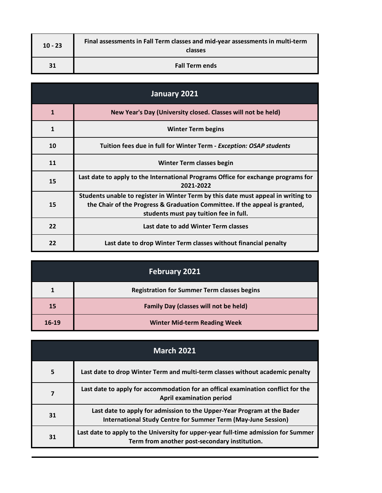| $10 - 23$ | Final assessments in Fall Term classes and mid-year assessments in multi-term<br>classes |
|-----------|------------------------------------------------------------------------------------------|
| 31        | <b>Fall Term ends</b>                                                                    |

| January 2021 |                                                                                                                                                                                                            |
|--------------|------------------------------------------------------------------------------------------------------------------------------------------------------------------------------------------------------------|
| $\mathbf{1}$ | New Year's Day (University closed. Classes will not be held)                                                                                                                                               |
| $\mathbf{1}$ | <b>Winter Term begins</b>                                                                                                                                                                                  |
| 10           | Tuition fees due in full for Winter Term - Exception: OSAP students                                                                                                                                        |
| 11           | Winter Term classes begin                                                                                                                                                                                  |
| 15           | Last date to apply to the International Programs Office for exchange programs for<br>2021-2022                                                                                                             |
| 15           | Students unable to register in Winter Term by this date must appeal in writing to<br>the Chair of the Progress & Graduation Committee. If the appeal is granted,<br>students must pay tuition fee in full. |
| 22           | Last date to add Winter Term classes                                                                                                                                                                       |
| 22           | Last date to drop Winter Term classes without financial penalty                                                                                                                                            |

| <b>February 2021</b> |                                                    |
|----------------------|----------------------------------------------------|
|                      | <b>Registration for Summer Term classes begins</b> |
| 15                   | <b>Family Day (classes will not be held)</b>       |
| 16-19                | <b>Winter Mid-term Reading Week</b>                |

| <b>March 2021</b> |                                                                                                                                          |
|-------------------|------------------------------------------------------------------------------------------------------------------------------------------|
| 5                 | Last date to drop Winter Term and multi-term classes without academic penalty                                                            |
| 7                 | Last date to apply for accommodation for an offical examination conflict for the<br><b>April examination period</b>                      |
| 31                | Last date to apply for admission to the Upper-Year Program at the Bader<br>International Study Centre for Summer Term (May-June Session) |
| 31                | Last date to apply to the University for upper-year full-time admission for Summer<br>Term from another post-secondary institution.      |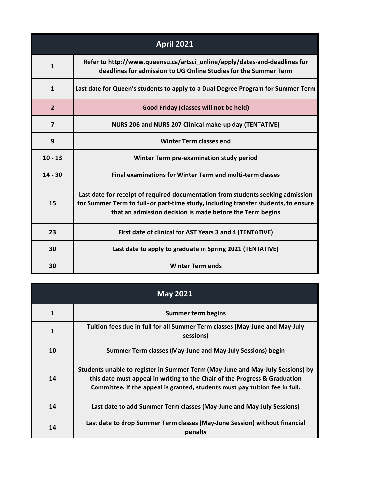| <b>April 2021</b> |                                                                                                                                                                                                                                     |
|-------------------|-------------------------------------------------------------------------------------------------------------------------------------------------------------------------------------------------------------------------------------|
| $\mathbf{1}$      | Refer to http://www.queensu.ca/artsci_online/apply/dates-and-deadlines for<br>deadlines for admission to UG Online Studies for the Summer Term                                                                                      |
| $\mathbf{1}$      | Last date for Queen's students to apply to a Dual Degree Program for Summer Term                                                                                                                                                    |
| $\overline{2}$    | Good Friday (classes will not be held)                                                                                                                                                                                              |
| $\overline{7}$    | NURS 206 and NURS 207 Clinical make-up day (TENTATIVE)                                                                                                                                                                              |
| 9                 | <b>Winter Term classes end</b>                                                                                                                                                                                                      |
| $10 - 13$         | Winter Term pre-examination study period                                                                                                                                                                                            |
| $14 - 30$         | <b>Final examinations for Winter Term and multi-term classes</b>                                                                                                                                                                    |
| 15                | Last date for receipt of required documentation from students seeking admission<br>for Summer Term to full- or part-time study, including transfer students, to ensure<br>that an admission decision is made before the Term begins |
| 23                | First date of clinical for AST Years 3 and 4 (TENTATIVE)                                                                                                                                                                            |
| 30                | Last date to apply to graduate in Spring 2021 (TENTATIVE)                                                                                                                                                                           |
| 30                | <b>Winter Term ends</b>                                                                                                                                                                                                             |

| <b>May 2021</b> |                                                                                                                                                                                                                                             |
|-----------------|---------------------------------------------------------------------------------------------------------------------------------------------------------------------------------------------------------------------------------------------|
| 1               | Summer term begins                                                                                                                                                                                                                          |
| $\mathbf{1}$    | Tuition fees due in full for all Summer Term classes (May-June and May-July<br>sessions)                                                                                                                                                    |
| 10              | Summer Term classes (May-June and May-July Sessions) begin                                                                                                                                                                                  |
| 14              | Students unable to register in Summer Term (May-June and May-July Sessions) by<br>this date must appeal in writing to the Chair of the Progress & Graduation<br>Committee. If the appeal is granted, students must pay tuition fee in full. |
| 14              | Last date to add Summer Term classes (May-June and May-July Sessions)                                                                                                                                                                       |
| 14              | Last date to drop Summer Term classes (May-June Session) without financial<br>penalty                                                                                                                                                       |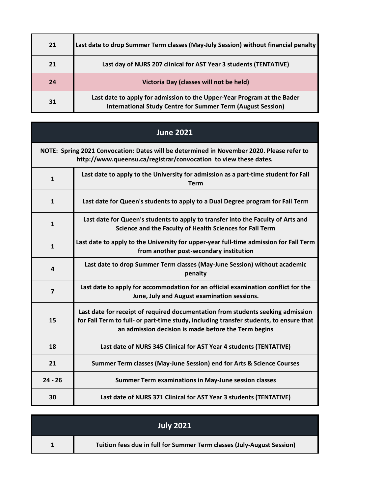| 21 | Last date to drop Summer Term classes (May-July Session) without financial penalty                                                            |
|----|-----------------------------------------------------------------------------------------------------------------------------------------------|
| 21 | Last day of NURS 207 clinical for AST Year 3 students (TENTATIVE)                                                                             |
| 24 | Victoria Day (classes will not be held)                                                                                                       |
| 31 | Last date to apply for admission to the Upper-Year Program at the Bader<br><b>International Study Centre for Summer Term (August Session)</b> |

| <b>June 2021</b> |                                                                                                                                                                                                                                   |
|------------------|-----------------------------------------------------------------------------------------------------------------------------------------------------------------------------------------------------------------------------------|
|                  | NOTE: Spring 2021 Convocation: Dates will be determined in November 2020. Please refer to<br>http://www.queensu.ca/registrar/convocation to view these dates.                                                                     |
| $\mathbf{1}$     | Last date to apply to the University for admission as a part-time student for Fall<br><b>Term</b>                                                                                                                                 |
| $\mathbf{1}$     | Last date for Queen's students to apply to a Dual Degree program for Fall Term                                                                                                                                                    |
| $\mathbf{1}$     | Last date for Queen's students to apply to transfer into the Faculty of Arts and<br>Science and the Faculty of Health Sciences for Fall Term                                                                                      |
| $\mathbf{1}$     | Last date to apply to the University for upper-year full-time admission for Fall Term<br>from another post-secondary institution                                                                                                  |
| 4                | Last date to drop Summer Term classes (May-June Session) without academic<br>penalty                                                                                                                                              |
| $\overline{7}$   | Last date to apply for accommodation for an official examination conflict for the<br>June, July and August examination sessions.                                                                                                  |
| 15               | Last date for receipt of required documentation from students seeking admission<br>for Fall Term to full- or part-time study, including transfer students, to ensure that<br>an admission decision is made before the Term begins |
| 18               | Last date of NURS 345 Clinical for AST Year 4 students (TENTATIVE)                                                                                                                                                                |
| 21               | Summer Term classes (May-June Session) end for Arts & Science Courses                                                                                                                                                             |
| $24 - 26$        | <b>Summer Term examinations in May-June session classes</b>                                                                                                                                                                       |
| 30               | Last date of NURS 371 Clinical for AST Year 3 students (TENTATIVE)                                                                                                                                                                |

| <b>July 2021</b>                                                       |
|------------------------------------------------------------------------|
| Tuition fees due in full for Summer Term classes (July-August Session) |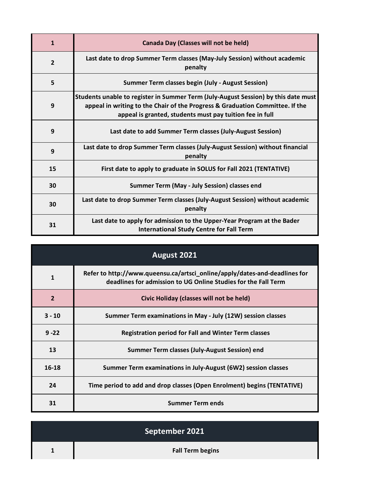| $\mathbf{1}$   | Canada Day (Classes will not be held)                                                                                                                                                                                           |
|----------------|---------------------------------------------------------------------------------------------------------------------------------------------------------------------------------------------------------------------------------|
| $\overline{2}$ | Last date to drop Summer Term classes (May-July Session) without academic<br>penalty                                                                                                                                            |
| 5              | <b>Summer Term classes begin (July - August Session)</b>                                                                                                                                                                        |
| 9              | Students unable to register in Summer Term (July-August Session) by this date must<br>appeal in writing to the Chair of the Progress & Graduation Committee. If the<br>appeal is granted, students must pay tuition fee in full |
| 9              | Last date to add Summer Term classes (July-August Session)                                                                                                                                                                      |
| 9              | Last date to drop Summer Term classes (July-August Session) without financial<br>penalty                                                                                                                                        |
| 15             | First date to apply to graduate in SOLUS for Fall 2021 (TENTATIVE)                                                                                                                                                              |
| 30             | Summer Term (May - July Session) classes end                                                                                                                                                                                    |
| 30             | Last date to drop Summer Term classes (July-August Session) without academic<br>penalty                                                                                                                                         |
| 31             | Last date to apply for admission to the Upper-Year Program at the Bader<br><b>International Study Centre for Fall Term</b>                                                                                                      |

| August 2021    |                                                                                                                                              |
|----------------|----------------------------------------------------------------------------------------------------------------------------------------------|
| $\mathbf{1}$   | Refer to http://www.queensu.ca/artsci_online/apply/dates-and-deadlines for<br>deadlines for admission to UG Online Studies for the Fall Term |
| $\overline{2}$ | Civic Holiday (classes will not be held)                                                                                                     |
| $3 - 10$       | Summer Term examinations in May - July (12W) session classes                                                                                 |
| $9 - 22$       | <b>Registration period for Fall and Winter Term classes</b>                                                                                  |
| 13             | Summer Term classes (July-August Session) end                                                                                                |
| 16-18          | Summer Term examinations in July-August (6W2) session classes                                                                                |
| 24             | Time period to add and drop classes (Open Enrolment) begins (TENTATIVE)                                                                      |
| 31             | <b>Summer Term ends</b>                                                                                                                      |

| September 2021          |
|-------------------------|
| <b>Fall Term begins</b> |